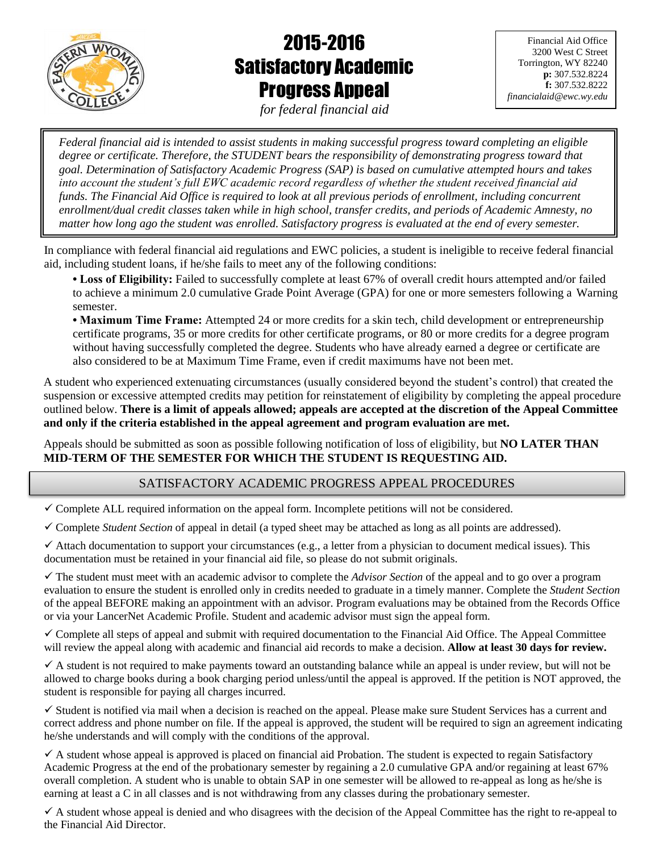

# 2015-2016 Satisfactory Academic Progress Appeal

Financial Aid Office 3200 West C Street Torrington, WY 82240 **p:** 307.532.8224 **f:** 307.532.8222 *financialaid@ewc.wy.edu*

*for federal financial aid*  $\overline{\phantom{a}}$ 

֚֞ ׅ֚֡֡֕ ֚֡֞ ֖֧֚֚֚֚֚֚֚֚֚֚֚֚֚֚֚֚֚֚֚֚֚֡֡֡֡֡֡֡֡֡֡֬֝ : ļ, ׅ֡֕֡֞ .<br>. *Federal financial aid is intended to assist students in making successful progress toward completing an eligible*  degree or certificate. Therefore, the STUDENT bears the responsibility of demonstrating progress toward that *goal. Determination of Satisfactory Academic Progress (SAP) is based on cumulative attempted hours and takes into account the student's full EWC academic record regardless of whether the student received financial aid funds. The Financial Aid Office is required to look at all previous periods of enrollment, including concurrent enrollment/dual credit classes taken while in high school, transfer credits, and periods of Academic Amnesty, no matter how long ago the student was enrolled. Satisfactory progress is evaluated at the end of every semester.*

In compliance with federal financial aid regulations and EWC policies, a student is ineligible to receive federal financial aid, including student loans, if he/she fails to meet any of the following conditions:

**• Loss of Eligibility:** Failed to successfully complete at least 67% of overall credit hours attempted and/or failed to achieve a minimum 2.0 cumulative Grade Point Average (GPA) for one or more semesters following a Warning semester.

**• Maximum Time Frame:** Attempted 24 or more credits for a skin tech, child development or entrepreneurship certificate programs, 35 or more credits for other certificate programs, or 80 or more credits for a degree program without having successfully completed the degree. Students who have already earned a degree or certificate are also considered to be at Maximum Time Frame, even if credit maximums have not been met.

A student who experienced extenuating circumstances (usually considered beyond the student's control) that created the suspension or excessive attempted credits may petition for reinstatement of eligibility by completing the appeal procedure outlined below. **There is a limit of appeals allowed; appeals are accepted at the discretion of the Appeal Committee and only if the criteria established in the appeal agreement and program evaluation are met.**

Appeals should be submitted as soon as possible following notification of loss of eligibility, but **NO LATER THAN MID-TERM OF THE SEMESTER FOR WHICH THE STUDENT IS REQUESTING AID.**

# SATISFACTORY ACADEMIC PROGRESS APPEAL PROCEDURES

Complete ALL required information on the appeal form. Incomplete petitions will not be considered.

Complete *Student Section* of appeal in detail (a typed sheet may be attached as long as all points are addressed).

 $\checkmark$  Attach documentation to support your circumstances (e.g., a letter from a physician to document medical issues). This documentation must be retained in your financial aid file, so please do not submit originals.

 $\checkmark$  The student must meet with an academic advisor to complete the *Advisor Section* of the appeal and to go over a program evaluation to ensure the student is enrolled only in credits needed to graduate in a timely manner. Complete the *Student Section* of the appeal BEFORE making an appointment with an advisor. Program evaluations may be obtained from the Records Office or via your LancerNet Academic Profile. Student and academic advisor must sign the appeal form.

 $\checkmark$  Complete all steps of appeal and submit with required documentation to the Financial Aid Office. The Appeal Committee will review the appeal along with academic and financial aid records to make a decision. **Allow at least 30 days for review.** 

 $\checkmark$  A student is not required to make payments toward an outstanding balance while an appeal is under review, but will not be allowed to charge books during a book charging period unless/until the appeal is approved. If the petition is NOT approved, the student is responsible for paying all charges incurred.

 $\checkmark$  Student is notified via mail when a decision is reached on the appeal. Please make sure Student Services has a current and correct address and phone number on file. If the appeal is approved, the student will be required to sign an agreement indicating he/she understands and will comply with the conditions of the approval.

 $\checkmark$  A student whose appeal is approved is placed on financial aid Probation. The student is expected to regain Satisfactory Academic Progress at the end of the probationary semester by regaining a 2.0 cumulative GPA and/or regaining at least 67% overall completion. A student who is unable to obtain SAP in one semester will be allowed to re-appeal as long as he/she is earning at least a C in all classes and is not withdrawing from any classes during the probationary semester.

 $\checkmark$  A student whose appeal is denied and who disagrees with the decision of the Appeal Committee has the right to re-appeal to the Financial Aid Director.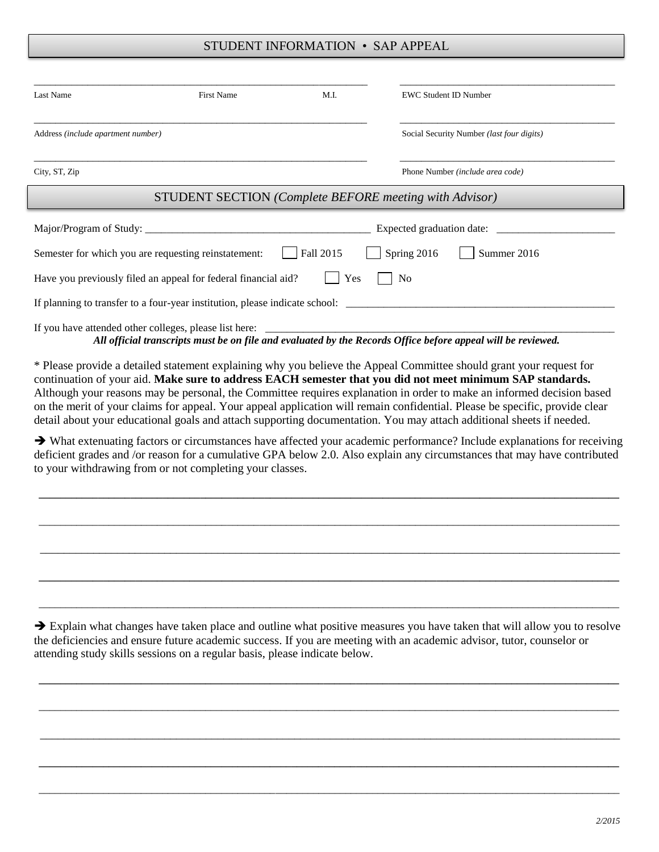#### STUDENT INFORMATION • SAP APPEAL

| Last Name                          | First Name                                                                  | M.I.      | <b>EWC Student ID Number</b>                                                                                 |
|------------------------------------|-----------------------------------------------------------------------------|-----------|--------------------------------------------------------------------------------------------------------------|
| Address (include apartment number) |                                                                             |           | Social Security Number (last four digits)                                                                    |
| City, ST, Zip                      |                                                                             |           | Phone Number (include area code)                                                                             |
|                                    | <b>STUDENT SECTION</b> (Complete BEFORE meeting with Advisor)               |           |                                                                                                              |
|                                    |                                                                             |           |                                                                                                              |
|                                    | Semester for which you are requesting reinstatement:                        | Fall 2015 | Spring 2016<br>Summer 2016                                                                                   |
|                                    | Have you previously filed an appeal for federal financial aid?              | Yes       | N <sub>0</sub>                                                                                               |
|                                    | If planning to transfer to a four-year institution, please indicate school: |           |                                                                                                              |
|                                    | If you have attended other colleges, please list here:                      |           | All official transcripts must be on file and evaluated by the Records Office before appeal will be reviewed. |

\* Please provide a detailed statement explaining why you believe the Appeal Committee should grant your request for continuation of your aid. **Make sure to address EACH semester that you did not meet minimum SAP standards.**  Although your reasons may be personal, the Committee requires explanation in order to make an informed decision based on the merit of your claims for appeal. Your appeal application will remain confidential. Please be specific, provide clear detail about your educational goals and attach supporting documentation. You may attach additional sheets if needed.

 What extenuating factors or circumstances have affected your academic performance? Include explanations for receiving deficient grades and /or reason for a cumulative GPA below 2.0. Also explain any circumstances that may have contributed to your withdrawing from or not completing your classes.

**\_\_\_\_\_\_\_\_\_\_\_\_\_\_\_\_\_\_\_\_\_\_\_\_\_\_\_\_\_\_\_\_\_\_\_\_\_\_\_\_\_\_\_\_\_\_\_\_\_\_\_\_\_\_\_\_\_\_\_\_\_\_\_\_\_\_\_\_\_\_\_\_\_\_\_\_\_\_\_\_\_\_\_\_\_\_\_\_\_\_\_\_\_\_\_\_\_\_\_\_\_\_\_\_\_\_\_\_**

\_\_\_\_\_\_\_\_\_\_\_\_\_\_\_\_\_\_\_\_\_\_\_\_\_\_\_\_\_\_\_\_\_\_\_\_\_\_\_\_\_\_\_\_\_\_\_\_\_\_\_\_\_\_\_\_\_\_\_\_\_\_\_\_\_\_\_\_\_\_\_\_\_\_\_\_\_\_\_\_\_\_\_\_\_\_\_\_\_\_\_\_\_\_\_\_\_\_\_\_\_\_\_\_\_\_\_\_

\_\_\_\_\_\_\_\_\_\_\_\_\_\_\_\_\_\_\_\_\_\_\_\_\_\_\_\_\_\_\_\_\_\_\_\_\_\_\_\_\_\_\_\_\_\_\_\_\_\_\_\_\_\_\_\_\_\_\_\_\_\_\_\_\_\_\_\_\_\_\_\_\_\_\_\_\_\_\_\_\_\_\_\_\_\_\_\_\_\_\_\_\_\_\_\_\_\_

**\_\_\_\_\_\_\_\_\_\_\_\_\_\_\_\_\_\_\_\_\_\_\_\_\_\_\_\_\_\_\_\_\_\_\_\_\_\_\_\_\_\_\_\_\_\_\_\_\_\_\_\_\_\_\_\_\_\_\_\_\_\_\_\_\_\_\_\_\_\_\_\_\_\_\_\_\_\_\_\_\_\_\_\_\_\_\_\_\_\_\_\_\_\_\_\_\_\_\_\_\_\_\_\_\_\_\_\_**

\_\_\_\_\_\_\_\_\_\_\_\_\_\_\_\_\_\_\_\_\_\_\_\_\_\_\_\_\_\_\_\_\_\_\_\_\_\_\_\_\_\_\_\_\_\_\_\_\_\_\_\_\_\_\_\_\_\_\_\_\_\_\_\_\_\_\_\_\_\_\_\_\_\_\_\_\_\_\_\_\_\_\_\_\_\_\_\_\_\_\_\_\_\_\_\_\_\_\_\_\_\_\_\_\_\_\_\_

 $\rightarrow$  Explain what changes have taken place and outline what positive measures you have taken that will allow you to resolve the deficiencies and ensure future academic success. If you are meeting with an academic advisor, tutor, counselor or attending study skills sessions on a regular basis, please indicate below.

**\_\_\_\_\_\_\_\_\_\_\_\_\_\_\_\_\_\_\_\_\_\_\_\_\_\_\_\_\_\_\_\_\_\_\_\_\_\_\_\_\_\_\_\_\_\_\_\_\_\_\_\_\_\_\_\_\_\_\_\_\_\_\_\_\_\_\_\_\_\_\_\_\_\_\_\_\_\_\_\_\_\_\_\_\_\_\_\_\_\_\_\_\_\_\_\_\_\_\_\_\_\_\_\_\_\_\_\_**

\_\_\_\_\_\_\_\_\_\_\_\_\_\_\_\_\_\_\_\_\_\_\_\_\_\_\_\_\_\_\_\_\_\_\_\_\_\_\_\_\_\_\_\_\_\_\_\_\_\_\_\_\_\_\_\_\_\_\_\_\_\_\_\_\_\_\_\_\_\_\_\_\_\_\_\_\_\_\_\_\_\_\_\_\_\_\_\_\_\_\_\_\_\_\_\_\_\_\_\_\_\_\_\_\_\_\_\_

\_\_\_\_\_\_\_\_\_\_\_\_\_\_\_\_\_\_\_\_\_\_\_\_\_\_\_\_\_\_\_\_\_\_\_\_\_\_\_\_\_\_\_\_\_\_\_\_\_\_\_\_\_\_\_\_\_\_\_\_\_\_\_\_\_\_\_\_\_\_\_\_\_\_\_\_\_\_\_\_\_\_\_\_\_\_\_\_\_\_\_\_\_\_\_\_\_\_

**\_\_\_\_\_\_\_\_\_\_\_\_\_\_\_\_\_\_\_\_\_\_\_\_\_\_\_\_\_\_\_\_\_\_\_\_\_\_\_\_\_\_\_\_\_\_\_\_\_\_\_\_\_\_\_\_\_\_\_\_\_\_\_\_\_\_\_\_\_\_\_\_\_\_\_\_\_\_\_\_\_\_\_\_\_\_\_\_\_\_\_\_\_\_\_\_\_\_\_\_\_\_\_\_\_\_\_\_**

\_\_\_\_\_\_\_\_\_\_\_\_\_\_\_\_\_\_\_\_\_\_\_\_\_\_\_\_\_\_\_\_\_\_\_\_\_\_\_\_\_\_\_\_\_\_\_\_\_\_\_\_\_\_\_\_\_\_\_\_\_\_\_\_\_\_\_\_\_\_\_\_\_\_\_\_\_\_\_\_\_\_\_\_\_\_\_\_\_\_\_\_\_\_\_\_\_\_\_\_\_\_\_\_\_\_\_\_